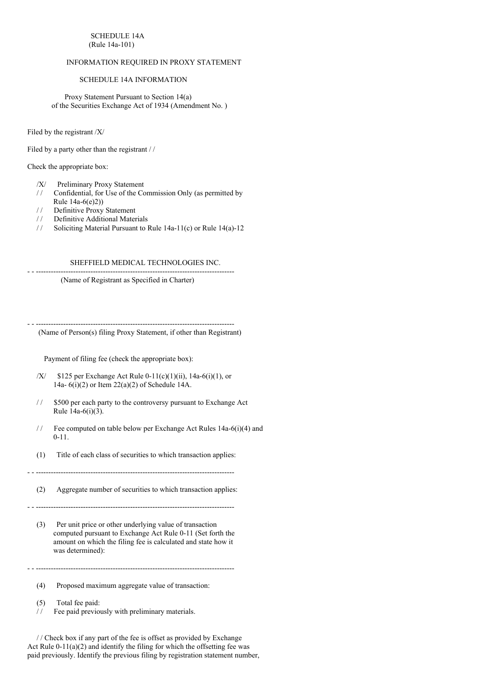### SCHEDULE 14A (Rule 14a-101)

# INFORMATION REQUIRED IN PROXY STATEMENT

### SCHEDULE 14A INFORMATION

Proxy Statement Pursuant to Section 14(a) of the Securities Exchange Act of 1934 (Amendment No. )

Filed by the registrant /X/

Filed by a party other than the registrant / /

Check the appropriate box:

- /X/ Preliminary Proxy Statement
- / / Confidential, for Use of the Commission Only (as permitted by
- Rule 14a-6(e)2))
- / / Definitive Proxy Statement
- / / Definitive Additional Materials
- / / Soliciting Material Pursuant to Rule 14a-11(c) or Rule 14(a)-12

# SHEFFIELD MEDICAL TECHNOLOGIES INC.

- - --------------------------------------------------------------------------------

(Name of Registrant as Specified in Charter)

- - -------------------------------------------------------------------------------- (Name of Person(s) filing Proxy Statement, if other than Registrant)

Payment of filing fee (check the appropriate box):

- /X/  $$125$  per Exchange Act Rule 0-11(c)(1)(ii), 14a-6(i)(1), or 14a- 6(i)(2) or Item 22(a)(2) of Schedule 14A.
- // \$500 per each party to the controversy pursuant to Exchange Act Rule 14a-6(i)(3).
- / / Fee computed on table below per Exchange Act Rules 14a-6(i)(4) and 0-11.
- (1) Title of each class of securities to which transaction applies:

- - --------------------------------------------------------------------------------

(2) Aggregate number of securities to which transaction applies:

- - --------------------------------------------------------------------------------

(3) Per unit price or other underlying value of transaction computed pursuant to Exchange Act Rule 0-11 (Set forth the amount on which the filing fee is calculated and state how it was determined):

 $-$ 

(4) Proposed maximum aggregate value of transaction:

(5) Total fee paid:

/ / Fee paid previously with preliminary materials.

/ / Check box if any part of the fee is offset as provided by Exchange Act Rule 0-11(a)(2) and identify the filing for which the offsetting fee was paid previously. Identify the previous filing by registration statement number,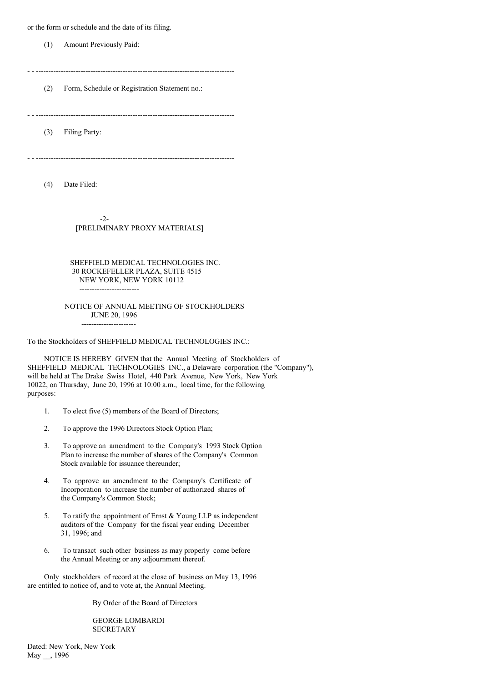or the form or schedule and the date of its filing.

(1) Amount Previously Paid:

- - --------------------------------------------------------------------------------

(2) Form, Schedule or Registration Statement no.:

- - --------------------------------------------------------------------------------

(3) Filing Party:

- - --------------------------------------------------------------------------------

(4) Date Filed:

-2- [PRELIMINARY PROXY MATERIALS]

# SHEFFIELD MEDICAL TECHNOLOGIES INC. 30 ROCKEFELLER PLAZA, SUITE 4515 NEW YORK, NEW YORK 10112 ------------------------

#### NOTICE OF ANNUAL MEETING OF STOCKHOLDERS JUNE 20, 1996 ----------------------

To the Stockholders of SHEFFIELD MEDICAL TECHNOLOGIES INC.:

NOTICE IS HEREBY GIVEN that the Annual Meeting of Stockholders of SHEFFIELD MEDICAL TECHNOLOGIES INC., a Delaware corporation (the "Company"), will be held at The Drake Swiss Hotel, 440 Park Avenue, New York, New York 10022, on Thursday, June 20, 1996 at 10:00 a.m., local time, for the following purposes:

- 1. To elect five (5) members of the Board of Directors;
- 2. To approve the 1996 Directors Stock Option Plan;
- 3. To approve an amendment to the Company's 1993 Stock Option Plan to increase the number of shares of the Company's Common Stock available for issuance thereunder;
- 4. To approve an amendment to the Company's Certificate of Incorporation to increase the number of authorized shares of the Company's Common Stock;
- 5. To ratify the appointment of Ernst & Young LLP as independent auditors of the Company for the fiscal year ending December 31, 1996; and
- 6. To transact such other business as may properly come before the Annual Meeting or any adjournment thereof.

Only stockholders of record at the close of business on May 13, 1996 are entitled to notice of, and to vote at, the Annual Meeting.

By Order of the Board of Directors

GEORGE LOMBARDI **SECRETARY** 

Dated: New York, New York May \_\_, 1996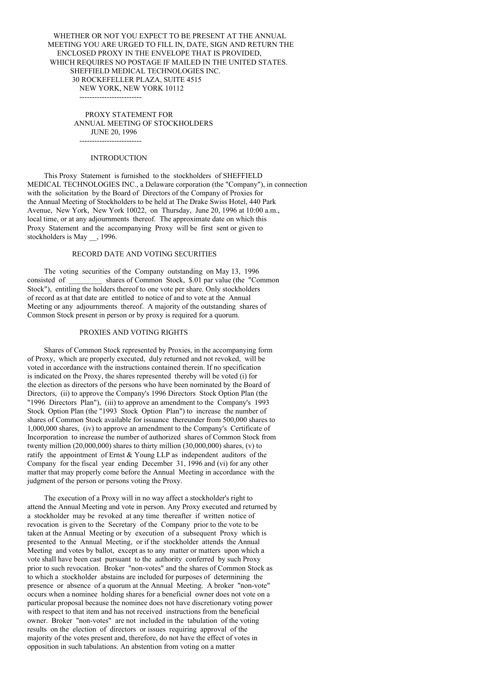# WHETHER OR NOT YOU EXPECT TO BE PRESENT AT THE ANNUAL MEETING YOU ARE URGED TO FILL IN, DATE, SIGN AND RETURN THE ENCLOSED PROXY IN THE ENVELOPE THAT IS PROVIDED, WHICH REQUIRES NO POSTAGE IF MAILED IN THE UNITED STATES. SHEFFIELD MEDICAL TECHNOLOGIES INC. 30 ROCKEFELLER PLAZA, SUITE 4515 NEW YORK, NEW YORK 10112

PROXY STATEMENT FOR ANNUAL MEETING OF STOCKHOLDERS JUNE 20, 1996 -------------------------

### **INTRODUCTION**

 $-$ 

This Proxy Statement is furnished to the stockholders of SHEFFIELD MEDICAL TECHNOLOGIES INC., a Delaware corporation (the "Company"), in connection with the solicitation by the Board of Directors of the Company of Proxies for the Annual Meeting of Stockholders to be held at The Drake Swiss Hotel, 440 Park Avenue, New York, New York 10022, on Thursday, June 20, 1996 at 10:00 a.m., local time, or at any adjournments thereof. The approximate date on which this Proxy Statement and the accompanying Proxy will be first sent or given to stockholders is May  $\,$ , 1996.

# RECORD DATE AND VOTING SECURITIES

The voting securities of the Company outstanding on May 13, 1996<br>consisted of shares of Common Stock, \$.01 par value (the "Co shares of Common Stock, \$.01 par value (the "Common Stock"), entitling the holders thereof to one vote per share. Only stockholders of record as at that date are entitled to notice of and to vote at the Annual Meeting or any adjournments thereof. A majority of the outstanding shares of Common Stock present in person or by proxy is required for a quorum.

### PROXIES AND VOTING RIGHTS

Shares of Common Stock represented by Proxies, in the accompanying form of Proxy, which are properly executed, duly returned and not revoked, will be voted in accordance with the instructions contained therein. If no specification is indicated on the Proxy, the shares represented thereby will be voted (i) for the election as directors of the persons who have been nominated by the Board of Directors, (ii) to approve the Company's 1996 Directors Stock Option Plan (the "1996 Directors Plan"), (iii) to approve an amendment to the Company's 1993 Stock Option Plan (the "1993 Stock Option Plan") to increase the number of shares of Common Stock available for issuance thereunder from 500,000 shares to 1,000,000 shares, (iv) to approve an amendment to the Company's Certificate of Incorporation to increase the number of authorized shares of Common Stock from twenty million  $(20,000,000)$  shares to thirty million  $(30,000,000)$  shares,  $(v)$  to ratify the appointment of Ernst & Young LLP as independent auditors of the Company for the fiscal year ending December 31, 1996 and (vi) for any other matter that may properly come before the Annual Meeting in accordance with the judgment of the person or persons voting the Proxy.

The execution of a Proxy will in no way affect a stockholder's right to attend the Annual Meeting and vote in person. Any Proxy executed and returned by a stockholder may be revoked at any time thereafter if written notice of revocation is given to the Secretary of the Company prior to the vote to be taken at the Annual Meeting or by execution of a subsequent Proxy which is presented to the Annual Meeting, or if the stockholder attends the Annual Meeting and votes by ballot, except as to any matter or matters upon which a vote shall have been cast pursuant to the authority conferred by such Proxy prior to such revocation. Broker "non-votes" and the shares of Common Stock as to which a stockholder abstains are included for purposes of determining the presence or absence of a quorum at the Annual Meeting. A broker "non-vote" occurs when a nominee holding shares for a beneficial owner does not vote on a particular proposal because the nominee does not have discretionary voting power with respect to that item and has not received instructions from the beneficial owner. Broker "non-votes" are not included in the tabulation of the voting results on the election of directors or issues requiring approval of the majority of the votes present and, therefore, do not have the effect of votes in opposition in such tabulations. An abstention from voting on a matter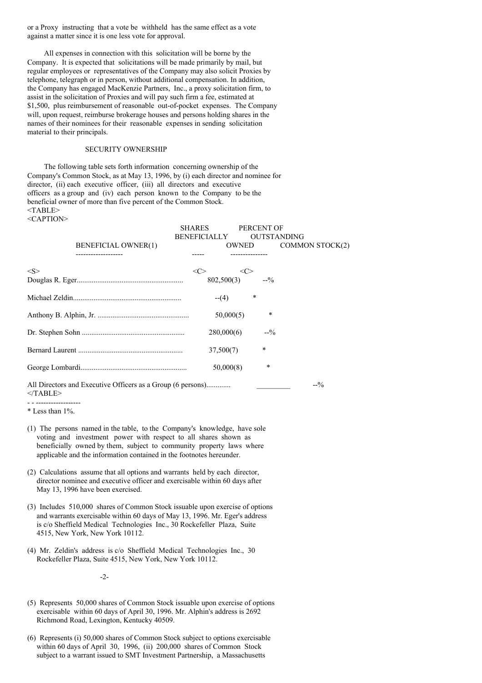or a Proxy instructing that a vote be withheld has the same effect as a vote against a matter since it is one less vote for approval.

All expenses in connection with this solicitation will be borne by the Company. It is expected that solicitations will be made primarily by mail, but regular employees or representatives of the Company may also solicit Proxies by telephone, telegraph or in person, without additional compensation. In addition, the Company has engaged MacKenzie Partners, Inc., a proxy solicitation firm, to assist in the solicitation of Proxies and will pay such firm a fee, estimated at \$1,500, plus reimbursement of reasonable out-of-pocket expenses. The Company will, upon request, reimburse brokerage houses and persons holding shares in the names of their nominees for their reasonable expenses in sending solicitation material to their principals.

#### SECURITY OWNERSHIP

The following table sets forth information concerning ownership of the Company's Common Stock, as at May 13, 1996, by (i) each director and nominee for director, (ii) each executive officer, (iii) all directors and executive officers as a group and (iv) each person known to the Company to be the beneficial owner of more than five percent of the Common Stock. <TABLE> <CAPTION>

|                            | <b>SHARES</b>                    | PERCENT OF         |                        |
|----------------------------|----------------------------------|--------------------|------------------------|
|                            | BENEFICIALLY                     | <b>OUTSTANDING</b> |                        |
| <b>BENEFICIAL OWNER(1)</b> | OWNED                            |                    | <b>COMMON STOCK(2)</b> |
|                            |                                  |                    |                        |
| < S >                      | $<\infty$<br>$\langle C \rangle$ |                    |                        |
|                            | $802,500(3)$ --%                 |                    |                        |
|                            | $-(-(4))$                        | $\ast$             |                        |
|                            | 50,000(5)                        | $\ast$             |                        |
|                            | 280,000(6)                       | $-2/2$             |                        |
|                            | 37,500(7)                        | $\star$            |                        |
|                            | 50,000(8)                        | $\ast$             |                        |
|                            |                                  |                    |                        |

All Directors and Executive Officers as a Group (6 persons)............. \_\_\_\_\_\_\_\_\_ --%  $<$ /TABLE>

- (1) The persons named in the table, to the Company's knowledge, have sole voting and investment power with respect to all shares shown as beneficially owned by them, subject to community property laws where applicable and the information contained in the footnotes hereunder.
- (2) Calculations assume that all options and warrants held by each director, director nominee and executive officer and exercisable within 60 days after May 13, 1996 have been exercised.
- (3) Includes 510,000 shares of Common Stock issuable upon exercise of options and warrants exercisable within 60 days of May 13, 1996. Mr. Eger's address is c/o Sheffield Medical Technologies Inc., 30 Rockefeller Plaza, Suite 4515, New York, New York 10112.
- (4) Mr. Zeldin's address is c/o Sheffield Medical Technologies Inc., 30 Rockefeller Plaza, Suite 4515, New York, New York 10112.

-2-

- (5) Represents 50,000 shares of Common Stock issuable upon exercise of options exercisable within 60 days of April 30, 1996. Mr. Alphin's address is 2692 Richmond Road, Lexington, Kentucky 40509.
- (6) Represents (i) 50,000 shares of Common Stock subject to options exercisable within 60 days of April 30, 1996, (ii) 200,000 shares of Common Stock subject to a warrant issued to SMT Investment Partnership, a Massachusetts

<sup>-</sup> - ------------------ \* Less than 1%.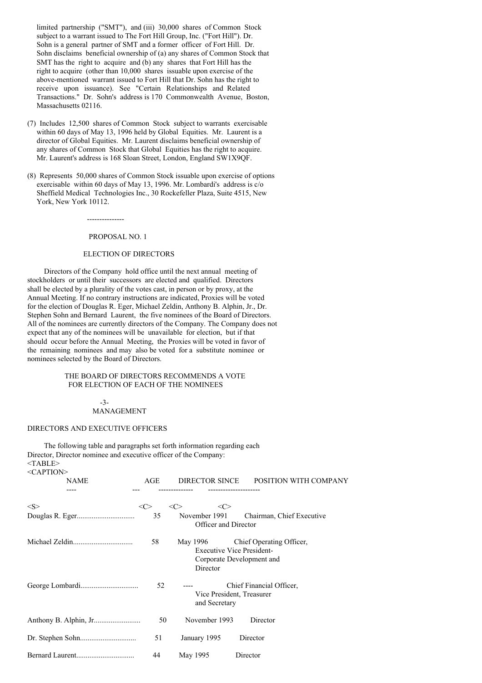limited partnership ("SMT"), and (iii) 30,000 shares of Common Stock subject to a warrant issued to The Fort Hill Group, Inc. ("Fort Hill"). Dr. Sohn is a general partner of SMT and a former officer of Fort Hill. Dr. Sohn disclaims beneficial ownership of (a) any shares of Common Stock that SMT has the right to acquire and (b) any shares that Fort Hill has the right to acquire (other than 10,000 shares issuable upon exercise of the above-mentioned warrant issued to Fort Hill that Dr. Sohn has the right to receive upon issuance). See "Certain Relationships and Related Transactions." Dr. Sohn's address is 170 Commonwealth Avenue, Boston, Massachusetts 02116.

- (7) Includes 12,500 shares of Common Stock subject to warrants exercisable within 60 days of May 13, 1996 held by Global Equities. Mr. Laurent is a director of Global Equities. Mr. Laurent disclaims beneficial ownership of any shares of Common Stock that Global Equities has the right to acquire. Mr. Laurent's address is 168 Sloan Street, London, England SW1X9QF.
- (8) Represents 50,000 shares of Common Stock issuable upon exercise of options exercisable within 60 days of May 13, 1996. Mr. Lombardi's address is c/o Sheffield Medical Technologies Inc., 30 Rockefeller Plaza, Suite 4515, New York, New York 10112.

---------------

### PROPOSAL NO. 1

### ELECTION OF DIRECTORS

Directors of the Company hold office until the next annual meeting of stockholders or until their successors are elected and qualified. Directors shall be elected by a plurality of the votes cast, in person or by proxy, at the Annual Meeting. If no contrary instructions are indicated, Proxies will be voted for the election of Douglas R. Eger, Michael Zeldin, Anthony B. Alphin, Jr., Dr. Stephen Sohn and Bernard Laurent, the five nominees of the Board of Directors. All of the nominees are currently directors of the Company. The Company does not expect that any of the nominees will be unavailable for election, but if that should occur before the Annual Meeting, the Proxies will be voted in favor of the remaining nominees and may also be voted for a substitute nominee or nominees selected by the Board of Directors.

### THE BOARD OF DIRECTORS RECOMMENDS A VOTE FOR ELECTION OF EACH OF THE NOMINEES

### -3- MANAGEMENT

#### DIRECTORS AND EXECUTIVE OFFICERS

The following table and paragraphs set forth information regarding each Director, Director nominee and executive officer of the Company:  $<$ TABLE $>$ <CAPTION>

| <b>NAME</b>          | AGE       |                                                                                       | DIRECTOR SINCE POSITION WITH COMPANY |
|----------------------|-----------|---------------------------------------------------------------------------------------|--------------------------------------|
|                      |           |                                                                                       |                                      |
| $<\leq>$             | <<><br>35 | <<><br><<><br>November 1991                                                           | Chairman, Chief Executive            |
| Officer and Director |           |                                                                                       |                                      |
|                      | 58        | May 1996<br><b>Executive Vice President-</b><br>Corporate Development and<br>Director | Chief Operating Officer,             |
|                      | 52        | Vice President, Treasurer<br>and Secretary                                            | Chief Financial Officer,             |
|                      | 50        | November 1993                                                                         | Director                             |
|                      | 51        | January 1995                                                                          | Director                             |
|                      | 44        | May 1995                                                                              | Director                             |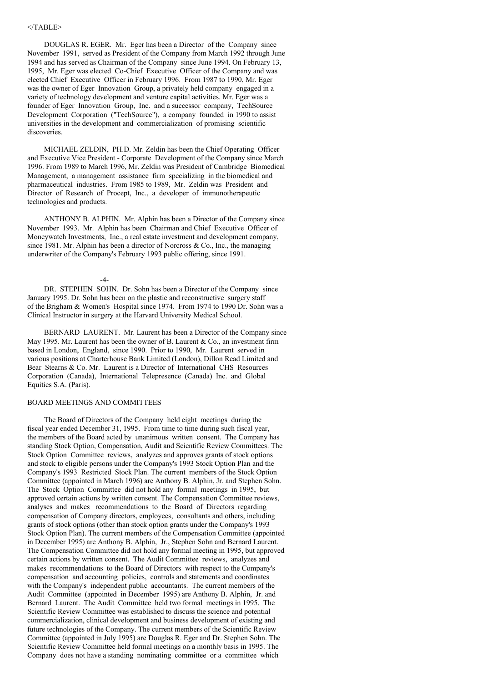### $<$ /TABLE>

DOUGLAS R. EGER. Mr. Eger has been a Director of the Company since November 1991, served as President of the Company from March 1992 through June 1994 and has served as Chairman of the Company since June 1994. On February 13, 1995, Mr. Eger was elected Co-Chief Executive Officer of the Company and was elected Chief Executive Officer in February 1996. From 1987 to 1990, Mr. Eger was the owner of Eger Innovation Group, a privately held company engaged in a variety of technology development and venture capital activities. Mr. Eger was a founder of Eger Innovation Group, Inc. and a successor company, TechSource Development Corporation ("TechSource"), a company founded in 1990 to assist universities in the development and commercialization of promising scientific discoveries.

MICHAEL ZELDIN, PH.D. Mr. Zeldin has been the Chief Operating Officer and Executive Vice President - Corporate Development of the Company since March 1996. From 1989 to March 1996, Mr. Zeldin was President of Cambridge Biomedical Management, a management assistance firm specializing in the biomedical and pharmaceutical industries. From 1985 to 1989, Mr. Zeldin was President and Director of Research of Procept, Inc., a developer of immunotherapeutic technologies and products.

ANTHONY B. ALPHIN. Mr. Alphin has been a Director of the Company since November 1993. Mr. Alphin has been Chairman and Chief Executive Officer of Moneywatch Investments, Inc., a real estate investment and development company, since 1981. Mr. Alphin has been a director of Norcross  $\&$  Co., Inc., the managing underwriter of the Company's February 1993 public offering, since 1991.

#### $-4-$

DR. STEPHEN SOHN. Dr. Sohn has been a Director of the Company since January 1995. Dr. Sohn has been on the plastic and reconstructive surgery staff of the Brigham & Women's Hospital since 1974. From 1974 to 1990 Dr. Sohn was a Clinical Instructor in surgery at the Harvard University Medical School.

BERNARD LAURENT. Mr. Laurent has been a Director of the Company since May 1995. Mr. Laurent has been the owner of B. Laurent & Co., an investment firm based in London, England, since 1990. Prior to 1990, Mr. Laurent served in various positions at Charterhouse Bank Limited (London), Dillon Read Limited and Bear Stearns & Co. Mr. Laurent is a Director of International CHS Resources Corporation (Canada), International Telepresence (Canada) Inc. and Global Equities S.A. (Paris).

#### BOARD MEETINGS AND COMMITTEES

The Board of Directors of the Company held eight meetings during the fiscal year ended December 31, 1995. From time to time during such fiscal year, the members of the Board acted by unanimous written consent. The Company has standing Stock Option, Compensation, Audit and Scientific Review Committees. The Stock Option Committee reviews, analyzes and approves grants of stock options and stock to eligible persons under the Company's 1993 Stock Option Plan and the Company's 1993 Restricted Stock Plan. The current members of the Stock Option Committee (appointed in March 1996) are Anthony B. Alphin, Jr. and Stephen Sohn. The Stock Option Committee did not hold any formal meetings in 1995, but approved certain actions by written consent. The Compensation Committee reviews, analyses and makes recommendations to the Board of Directors regarding compensation of Company directors, employees, consultants and others, including grants of stock options (other than stock option grants under the Company's 1993 Stock Option Plan). The current members of the Compensation Committee (appointed in December 1995) are Anthony B. Alphin, Jr., Stephen Sohn and Bernard Laurent. The Compensation Committee did not hold any formal meeting in 1995, but approved certain actions by written consent. The Audit Committee reviews, analyzes and makes recommendations to the Board of Directors with respect to the Company's compensation and accounting policies, controls and statements and coordinates with the Company's independent public accountants. The current members of the Audit Committee (appointed in December 1995) are Anthony B. Alphin, Jr. and Bernard Laurent. The Audit Committee held two formal meetings in 1995. The Scientific Review Committee was established to discuss the science and potential commercialization, clinical development and business development of existing and future technologies of the Company. The current members of the Scientific Review Committee (appointed in July 1995) are Douglas R. Eger and Dr. Stephen Sohn. The Scientific Review Committee held formal meetings on a monthly basis in 1995. The Company does not have a standing nominating committee or a committee which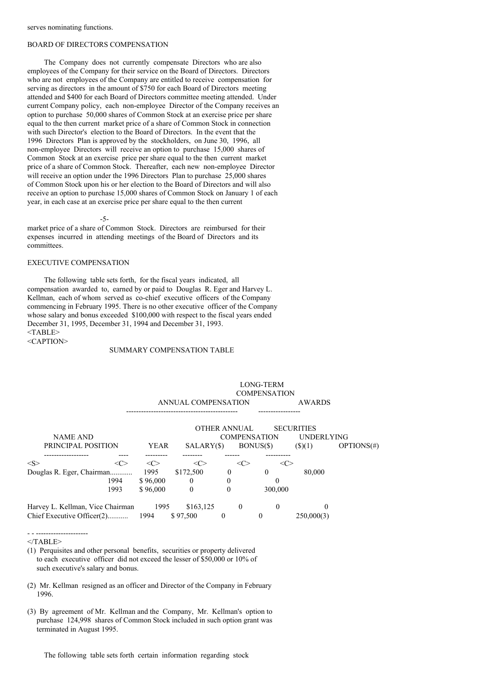### BOARD OF DIRECTORS COMPENSATION

The Company does not currently compensate Directors who are also employees of the Company for their service on the Board of Directors. Directors who are not employees of the Company are entitled to receive compensation for serving as directors in the amount of \$750 for each Board of Directors meeting attended and \$400 for each Board of Directors committee meeting attended. Under current Company policy, each non-employee Director of the Company receives an option to purchase 50,000 shares of Common Stock at an exercise price per share equal to the then current market price of a share of Common Stock in connection with such Director's election to the Board of Directors. In the event that the 1996 Directors Plan is approved by the stockholders, on June 30, 1996, all non-employee Directors will receive an option to purchase 15,000 shares of Common Stock at an exercise price per share equal to the then current market price of a share of Common Stock. Thereafter, each new non-employee Director will receive an option under the 1996 Directors Plan to purchase 25,000 shares of Common Stock upon his or her election to the Board of Directors and will also receive an option to purchase 15,000 shares of Common Stock on January 1 of each year, in each case at an exercise price per share equal to the then current

-5-

market price of a share of Common Stock. Directors are reimbursed for their expenses incurred in attending meetings of the Board of Directors and its committees.

### EXECUTIVE COMPENSATION

The following table sets forth, for the fiscal years indicated, all compensation awarded to, earned by or paid to Douglas R. Eger and Harvey L. Kellman, each of whom served as co-chief executive officers of the Company commencing in February 1995. There is no other executive officer of the Company whose salary and bonus exceeded \$100,000 with respect to the fiscal years ended December 31, 1995, December 31, 1994 and December 31, 1993. <TABLE> <CAPTION>

#### SUMMARY COMPENSATION TABLE

|                                       | ANNUAL COMPENSATION |            | <b>COMPENSATION</b>                 | <b>AWARDS</b> |                                                         |               |
|---------------------------------------|---------------------|------------|-------------------------------------|---------------|---------------------------------------------------------|---------------|
| <b>NAME AND</b><br>PRINCIPAL POSITION | <b>YEAR</b>         | SALARY(\$) | OTHER ANNUAL<br><b>COMPENSATION</b> | BONUS(\$)     | <b>SECURITIES</b><br><b>UNDERLYING</b><br>$($ \$ $)(1)$ | $OPTIONS(\#)$ |
| $<\leq>$<br><<>                       | <<>                 | <c></c>    | <<>                                 | <( '>         |                                                         |               |
| Douglas R. Eger, Chairman             | 1995                | \$172,500  | $\theta$                            | $\Omega$      | 80,000                                                  |               |
| 1994                                  | \$96,000            | $\theta$   | $\theta$                            | 0             |                                                         |               |
| 1993                                  | \$96,000            | $\theta$   | $\theta$                            | 300,000       |                                                         |               |
| Harvey L. Kellman, Vice Chairman      | 1995                | \$163,125  | $\theta$                            | $\Omega$      | $\Omega$                                                |               |
| Chief Executive Officer(2)            | 1994                | \$97,500   | $\theta$                            | 0             | 250,000(3)                                              |               |

LONG-TERM

 $<$ /TABLE>

- - ---------------------

(1) Perquisites and other personal benefits, securities or property delivered to each executive officer did not exceed the lesser of \$50,000 or 10% of such executive's salary and bonus.

- (2) Mr. Kellman resigned as an officer and Director of the Company in February 1996.
- (3) By agreement of Mr. Kellman and the Company, Mr. Kellman's option to purchase 124,998 shares of Common Stock included in such option grant was terminated in August 1995.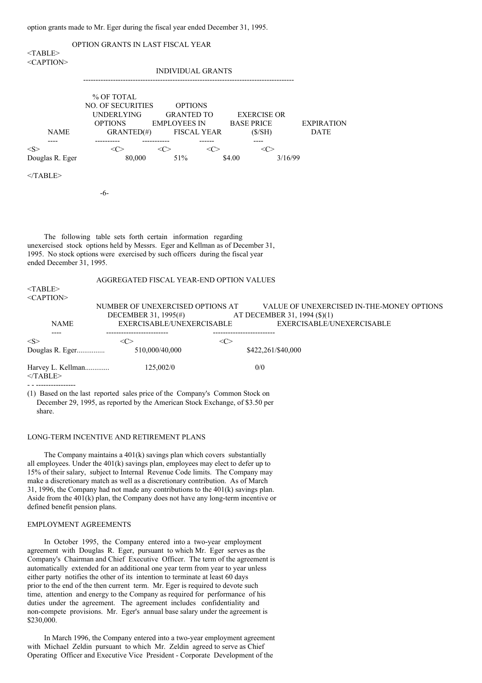option grants made to Mr. Eger during the fiscal year ended December 31, 1995.

| $<$ TABLE>                                                                                                                                                                                                                                                 | OPTION GRANTS IN LAST FISCAL YEAR                                                                                                                                                                                                                      |                                                                        |  |  |  |  |
|------------------------------------------------------------------------------------------------------------------------------------------------------------------------------------------------------------------------------------------------------------|--------------------------------------------------------------------------------------------------------------------------------------------------------------------------------------------------------------------------------------------------------|------------------------------------------------------------------------|--|--|--|--|
| $<$ CAPTION>                                                                                                                                                                                                                                               | <b>INDIVIDUAL GRANTS</b>                                                                                                                                                                                                                               |                                                                        |  |  |  |  |
| <b>NAME</b><br>----                                                                                                                                                                                                                                        | % OF TOTAL<br><b>NO. OF SECURITIES</b><br><b>OPTIONS</b><br><b>UNDERLYING</b><br><b>GRANTED TO</b><br><b>EXERCISE OR</b><br><b>OPTIONS</b><br><b>EMPLOYEES IN</b><br><b>BASE PRICE</b><br>GRANTED(#)<br><b>FISCAL YEAR</b><br>(S/SH)<br>----<br>------ | <b>EXPIRATION</b><br><b>DATE</b>                                       |  |  |  |  |
| <s><br/>Douglas R. Eger</s>                                                                                                                                                                                                                                | $<\infty$<br>$<\!\!C\!\!>$<br>$<\infty$<br>$\langle C \rangle$<br>80,000<br>51%<br>\$4.00<br>3/16/99                                                                                                                                                   |                                                                        |  |  |  |  |
| $<$ TABLE>                                                                                                                                                                                                                                                 |                                                                                                                                                                                                                                                        |                                                                        |  |  |  |  |
|                                                                                                                                                                                                                                                            | -6-                                                                                                                                                                                                                                                    |                                                                        |  |  |  |  |
|                                                                                                                                                                                                                                                            |                                                                                                                                                                                                                                                        |                                                                        |  |  |  |  |
| The following table sets forth certain information regarding<br>unexercised stock options held by Messrs. Eger and Kellman as of December 31,<br>1995. No stock options were exercised by such officers during the fiscal year<br>ended December 31, 1995. |                                                                                                                                                                                                                                                        |                                                                        |  |  |  |  |
| $<$ TABLE><br><caption></caption>                                                                                                                                                                                                                          | AGGREGATED FISCAL YEAR-END OPTION VALUES                                                                                                                                                                                                               |                                                                        |  |  |  |  |
| <b>NAME</b>                                                                                                                                                                                                                                                | NUMBER OF UNEXERCISED OPTIONS AT<br>DECEMBER 31, 1995(#)<br>AT DECEMBER 31, 1994 (\$)(1)<br>EXERCISABLE/UNEXERCISABLE                                                                                                                                  | VALUE OF UNEXERCISED IN-THE-MONEY OPTIONS<br>EXERCISABLE/UNEXERCISABLE |  |  |  |  |
| < S ><br>Douglas R. Eger                                                                                                                                                                                                                                   | $<\!\!C\!\!>$<br>$<\!\!C\!\!>$<br>510,000/40,000<br>\$422,261/\$40,000                                                                                                                                                                                 |                                                                        |  |  |  |  |

Harvey L. Kellman............. 125,002/0 0/0  $<$ /TABLE>

- - ---------------- (1) Based on the last reported sales price of the Company's Common Stock on December 29, 1995, as reported by the American Stock Exchange, of \$3.50 per share.

#### LONG-TERM INCENTIVE AND RETIREMENT PLANS

The Company maintains a 401(k) savings plan which covers substantially all employees. Under the 401(k) savings plan, employees may elect to defer up to 15% of their salary, subject to Internal Revenue Code limits. The Company may make a discretionary match as well as a discretionary contribution. As of March 31, 1996, the Company had not made any contributions to the 401(k) savings plan. Aside from the 401(k) plan, the Company does not have any long-term incentive or defined benefit pension plans.

#### EMPLOYMENT AGREEMENTS

In October 1995, the Company entered into a two-year employment agreement with Douglas R. Eger, pursuant to which Mr. Eger serves as the Company's Chairman and Chief Executive Officer. The term of the agreement is automatically extended for an additional one year term from year to year unless either party notifies the other of its intention to terminate at least 60 days prior to the end of the then current term. Mr. Eger is required to devote such time, attention and energy to the Company as required for performance of his duties under the agreement. The agreement includes confidentiality and non-compete provisions. Mr. Eger's annual base salary under the agreement is \$230,000.

In March 1996, the Company entered into a two-year employment agreement with Michael Zeldin pursuant to which Mr. Zeldin agreed to serve as Chief Operating Officer and Executive Vice President - Corporate Development of the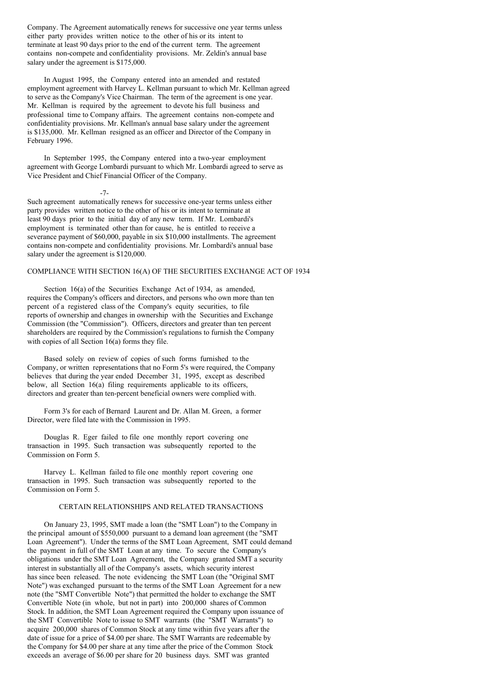Company. The Agreement automatically renews for successive one year terms unless either party provides written notice to the other of his or its intent to terminate at least 90 days prior to the end of the current term. The agreement contains non-compete and confidentiality provisions. Mr. Zeldin's annual base salary under the agreement is \$175,000.

In August 1995, the Company entered into an amended and restated employment agreement with Harvey L. Kellman pursuant to which Mr. Kellman agreed to serve as the Company's Vice Chairman. The term of the agreement is one year. Mr. Kellman is required by the agreement to devote his full business and professional time to Company affairs. The agreement contains non-compete and confidentiality provisions. Mr. Kellman's annual base salary under the agreement is \$135,000. Mr. Kellman resigned as an officer and Director of the Company in February 1996.

In September 1995, the Company entered into a two-year employment agreement with George Lombardi pursuant to which Mr. Lombardi agreed to serve as Vice President and Chief Financial Officer of the Company.

-7-

Such agreement automatically renews for successive one-year terms unless either party provides written notice to the other of his or its intent to terminate at least 90 days prior to the initial day of any new term. If Mr. Lombardi's employment is terminated other than for cause, he is entitled to receive a severance payment of \$60,000, payable in six \$10,000 installments. The agreement contains non-compete and confidentiality provisions. Mr. Lombardi's annual base salary under the agreement is \$120,000.

# COMPLIANCE WITH SECTION 16(A) OF THE SECURITIES EXCHANGE ACT OF 1934

Section 16(a) of the Securities Exchange Act of 1934, as amended, requires the Company's officers and directors, and persons who own more than ten percent of a registered class of the Company's equity securities, to file reports of ownership and changes in ownership with the Securities and Exchange Commission (the "Commission"). Officers, directors and greater than ten percent shareholders are required by the Commission's regulations to furnish the Company with copies of all Section 16(a) forms they file.

Based solely on review of copies of such forms furnished to the Company, or written representations that no Form 5's were required, the Company believes that during the year ended December 31, 1995, except as described below, all Section 16(a) filing requirements applicable to its officers, directors and greater than ten-percent beneficial owners were complied with.

Form 3's for each of Bernard Laurent and Dr. Allan M. Green, a former Director, were filed late with the Commission in 1995.

Douglas R. Eger failed to file one monthly report covering one transaction in 1995. Such transaction was subsequently reported to the Commission on Form 5.

Harvey L. Kellman failed to file one monthly report covering one transaction in 1995. Such transaction was subsequently reported to the Commission on Form 5.

### CERTAIN RELATIONSHIPS AND RELATED TRANSACTIONS

On January 23, 1995, SMT made a loan (the "SMT Loan") to the Company in the principal amount of \$550,000 pursuant to a demand loan agreement (the "SMT Loan Agreement"). Under the terms of the SMT Loan Agreement, SMT could demand the payment in full of the SMT Loan at any time. To secure the Company's obligations under the SMT Loan Agreement, the Company granted SMT a security interest in substantially all of the Company's assets, which security interest has since been released. The note evidencing the SMT Loan (the "Original SMT Note") was exchanged pursuant to the terms of the SMT Loan Agreement for a new note (the "SMT Convertible Note") that permitted the holder to exchange the SMT Convertible Note (in whole, but not in part) into 200,000 shares of Common Stock. In addition, the SMT Loan Agreement required the Company upon issuance of the SMT Convertible Note to issue to SMT warrants (the "SMT Warrants") to acquire 200,000 shares of Common Stock at any time within five years after the date of issue for a price of \$4.00 per share. The SMT Warrants are redeemable by the Company for \$4.00 per share at any time after the price of the Common Stock exceeds an average of \$6.00 per share for 20 business days. SMT was granted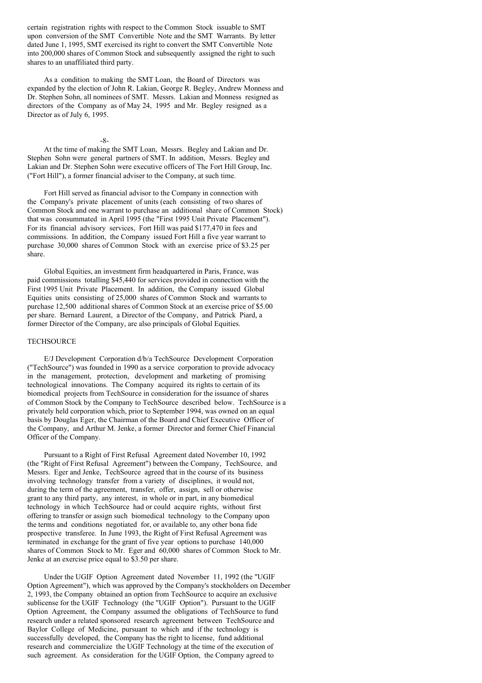certain registration rights with respect to the Common Stock issuable to SMT upon conversion of the SMT Convertible Note and the SMT Warrants. By letter dated June 1, 1995, SMT exercised its right to convert the SMT Convertible Note into 200,000 shares of Common Stock and subsequently assigned the right to such shares to an unaffiliated third party.

As a condition to making the SMT Loan, the Board of Directors was expanded by the election of John R. Lakian, George R. Begley, Andrew Monness and Dr. Stephen Sohn, all nominees of SMT. Messrs. Lakian and Monness resigned as directors of the Company as of May 24, 1995 and Mr. Begley resigned as a Director as of July 6, 1995.

-8-

At the time of making the SMT Loan, Messrs. Begley and Lakian and Dr. Stephen Sohn were general partners of SMT. In addition, Messrs. Begley and Lakian and Dr. Stephen Sohn were executive officers of The Fort Hill Group, Inc. ("Fort Hill"), a former financial adviser to the Company, at such time.

Fort Hill served as financial advisor to the Company in connection with the Company's private placement of units (each consisting of two shares of Common Stock and one warrant to purchase an additional share of Common Stock) that was consummated in April 1995 (the "First 1995 Unit Private Placement"). For its financial advisory services, Fort Hill was paid \$177,470 in fees and commissions. In addition, the Company issued Fort Hill a five year warrant to purchase 30,000 shares of Common Stock with an exercise price of \$3.25 per share.

Global Equities, an investment firm headquartered in Paris, France, was paid commissions totalling \$45,440 for services provided in connection with the First 1995 Unit Private Placement. In addition, the Company issued Global Equities units consisting of 25,000 shares of Common Stock and warrants to purchase 12,500 additional shares of Common Stock at an exercise price of \$5.00 per share. Bernard Laurent, a Director of the Company, and Patrick Piard, a former Director of the Company, are also principals of Global Equities.

#### **TECHSOURCE**

E/J Development Corporation d/b/a TechSource Development Corporation ("TechSource") was founded in 1990 as a service corporation to provide advocacy in the management, protection, development and marketing of promising technological innovations. The Company acquired its rights to certain of its biomedical projects from TechSource in consideration for the issuance of shares of Common Stock by the Company to TechSource described below. TechSource is a privately held corporation which, prior to September 1994, was owned on an equal basis by Douglas Eger, the Chairman of the Board and Chief Executive Officer of the Company, and Arthur M. Jenke, a former Director and former Chief Financial Officer of the Company.

Pursuant to a Right of First Refusal Agreement dated November 10, 1992 (the "Right of First Refusal Agreement") between the Company, TechSource, and Messrs. Eger and Jenke, TechSource agreed that in the course of its business involving technology transfer from a variety of disciplines, it would not, during the term of the agreement, transfer, offer, assign, sell or otherwise grant to any third party, any interest, in whole or in part, in any biomedical technology in which TechSource had or could acquire rights, without first offering to transfer or assign such biomedical technology to the Company upon the terms and conditions negotiated for, or available to, any other bona fide prospective transferee. In June 1993, the Right of First Refusal Agreement was terminated in exchange for the grant of five year options to purchase 140,000 shares of Common Stock to Mr. Eger and 60,000 shares of Common Stock to Mr. Jenke at an exercise price equal to \$3.50 per share.

Under the UGIF Option Agreement dated November 11, 1992 (the "UGIF Option Agreement"), which was approved by the Company's stockholders on December 2, 1993, the Company obtained an option from TechSource to acquire an exclusive sublicense for the UGIF Technology (the "UGIF Option"). Pursuant to the UGIF Option Agreement, the Company assumed the obligations of TechSource to fund research under a related sponsored research agreement between TechSource and Baylor College of Medicine, pursuant to which and if the technology is successfully developed, the Company has the right to license, fund additional research and commercialize the UGIF Technology at the time of the execution of such agreement. As consideration for the UGIF Option, the Company agreed to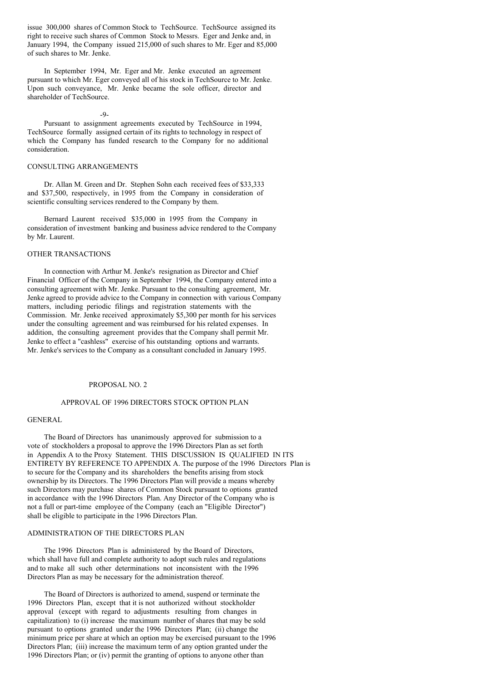issue 300,000 shares of Common Stock to TechSource. TechSource assigned its right to receive such shares of Common Stock to Messrs. Eger and Jenke and, in January 1994, the Company issued 215,000 of such shares to Mr. Eger and 85,000 of such shares to Mr. Jenke.

In September 1994, Mr. Eger and Mr. Jenke executed an agreement pursuant to which Mr. Eger conveyed all of his stock in TechSource to Mr. Jenke. Upon such conveyance, Mr. Jenke became the sole officer, director and shareholder of TechSource.

#### $-9$

Pursuant to assignment agreements executed by TechSource in 1994, TechSource formally assigned certain of its rights to technology in respect of which the Company has funded research to the Company for no additional consideration.

# CONSULTING ARRANGEMENTS

Dr. Allan M. Green and Dr. Stephen Sohn each received fees of \$33,333 and \$37,500, respectively, in 1995 from the Company in consideration of scientific consulting services rendered to the Company by them.

Bernard Laurent received \$35,000 in 1995 from the Company in consideration of investment banking and business advice rendered to the Company by Mr. Laurent.

# OTHER TRANSACTIONS

In connection with Arthur M. Jenke's resignation as Director and Chief Financial Officer of the Company in September 1994, the Company entered into a consulting agreement with Mr. Jenke. Pursuant to the consulting agreement, Mr. Jenke agreed to provide advice to the Company in connection with various Company matters, including periodic filings and registration statements with the Commission. Mr. Jenke received approximately \$5,300 per month for his services under the consulting agreement and was reimbursed for his related expenses. In addition, the consulting agreement provides that the Company shall permit Mr. Jenke to effect a "cashless" exercise of his outstanding options and warrants. Mr. Jenke's services to the Company as a consultant concluded in January 1995.

### PROPOSAL NO. 2

#### APPROVAL OF 1996 DIRECTORS STOCK OPTION PLAN

# GENERAL

The Board of Directors has unanimously approved for submission to a vote of stockholders a proposal to approve the 1996 Directors Plan as set forth in Appendix A to the Proxy Statement. THIS DISCUSSION IS QUALIFIED IN ITS ENTIRETY BY REFERENCE TO APPENDIX A. The purpose of the 1996 Directors Plan is to secure for the Company and its shareholders the benefits arising from stock ownership by its Directors. The 1996 Directors Plan will provide a means whereby such Directors may purchase shares of Common Stock pursuant to options granted in accordance with the 1996 Directors Plan. Any Director of the Company who is not a full or part-time employee of the Company (each an "Eligible Director") shall be eligible to participate in the 1996 Directors Plan.

# ADMINISTRATION OF THE DIRECTORS PLAN

The 1996 Directors Plan is administered by the Board of Directors, which shall have full and complete authority to adopt such rules and regulations and to make all such other determinations not inconsistent with the 1996 Directors Plan as may be necessary for the administration thereof.

The Board of Directors is authorized to amend, suspend or terminate the 1996 Directors Plan, except that it is not authorized without stockholder approval (except with regard to adjustments resulting from changes in capitalization) to (i) increase the maximum number of shares that may be sold pursuant to options granted under the 1996 Directors Plan; (ii) change the minimum price per share at which an option may be exercised pursuant to the 1996 Directors Plan; (iii) increase the maximum term of any option granted under the 1996 Directors Plan; or (iv) permit the granting of options to anyone other than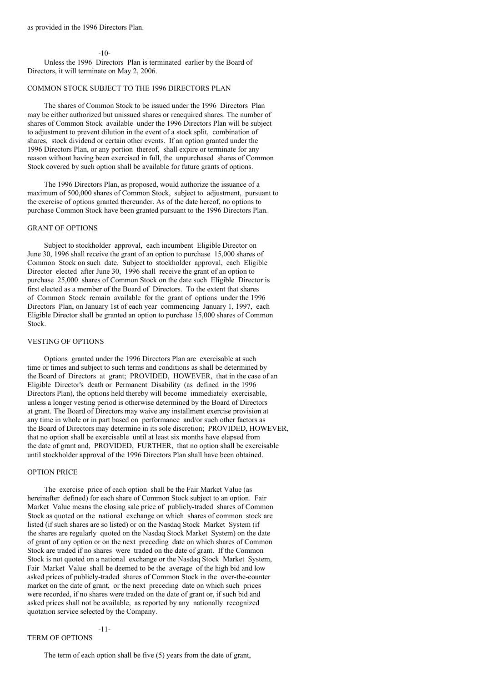$-10-$ 

Unless the 1996 Directors Plan is terminated earlier by the Board of Directors, it will terminate on May 2, 2006.

# COMMON STOCK SUBJECT TO THE 1996 DIRECTORS PLAN

The shares of Common Stock to be issued under the 1996 Directors Plan may be either authorized but unissued shares or reacquired shares. The number of shares of Common Stock available under the 1996 Directors Plan will be subject to adjustment to prevent dilution in the event of a stock split, combination of shares, stock dividend or certain other events. If an option granted under the 1996 Directors Plan, or any portion thereof, shall expire or terminate for any reason without having been exercised in full, the unpurchased shares of Common Stock covered by such option shall be available for future grants of options.

The 1996 Directors Plan, as proposed, would authorize the issuance of a maximum of 500,000 shares of Common Stock, subject to adjustment, pursuant to the exercise of options granted thereunder. As of the date hereof, no options to purchase Common Stock have been granted pursuant to the 1996 Directors Plan.

#### GRANT OF OPTIONS

Subject to stockholder approval, each incumbent Eligible Director on June 30, 1996 shall receive the grant of an option to purchase 15,000 shares of Common Stock on such date. Subject to stockholder approval, each Eligible Director elected after June 30, 1996 shall receive the grant of an option to purchase 25,000 shares of Common Stock on the date such Eligible Director is first elected as a member of the Board of Directors. To the extent that shares of Common Stock remain available for the grant of options under the 1996 Directors Plan, on January 1st of each year commencing January 1, 1997, each Eligible Director shall be granted an option to purchase 15,000 shares of Common Stock.

#### VESTING OF OPTIONS

Options granted under the 1996 Directors Plan are exercisable at such time or times and subject to such terms and conditions as shall be determined by the Board of Directors at grant; PROVIDED, HOWEVER, that in the case of an Eligible Director's death or Permanent Disability (as defined in the 1996 Directors Plan), the options held thereby will become immediately exercisable, unless a longer vesting period is otherwise determined by the Board of Directors at grant. The Board of Directors may waive any installment exercise provision at any time in whole or in part based on performance and/or such other factors as the Board of Directors may determine in its sole discretion; PROVIDED, HOWEVER, that no option shall be exercisable until at least six months have elapsed from the date of grant and, PROVIDED, FURTHER, that no option shall be exercisable until stockholder approval of the 1996 Directors Plan shall have been obtained.

#### OPTION PRICE

The exercise price of each option shall be the Fair Market Value (as hereinafter defined) for each share of Common Stock subject to an option. Fair Market Value means the closing sale price of publicly-traded shares of Common Stock as quoted on the national exchange on which shares of common stock are listed (if such shares are so listed) or on the Nasdaq Stock Market System (if the shares are regularly quoted on the Nasdaq Stock Market System) on the date of grant of any option or on the next preceding date on which shares of Common Stock are traded if no shares were traded on the date of grant. If the Common Stock is not quoted on a national exchange or the Nasdaq Stock Market System, Fair Market Value shall be deemed to be the average of the high bid and low asked prices of publicly-traded shares of Common Stock in the over-the-counter market on the date of grant, or the next preceding date on which such prices were recorded, if no shares were traded on the date of grant or, if such bid and asked prices shall not be available, as reported by any nationally recognized quotation service selected by the Company.

# TERM OF OPTIONS

-11-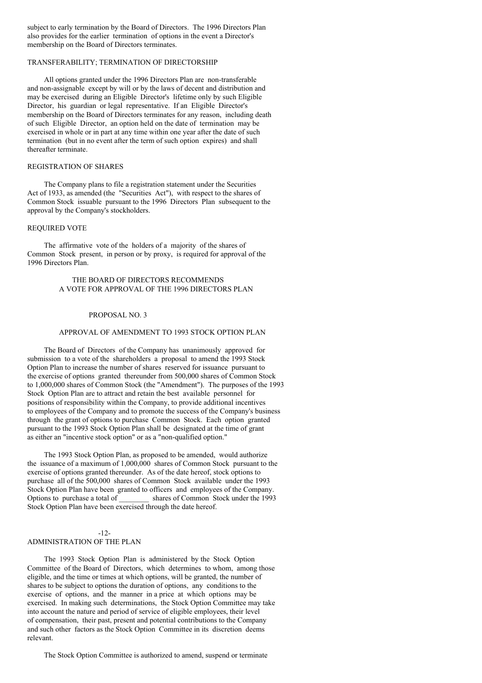subject to early termination by the Board of Directors. The 1996 Directors Plan also provides for the earlier termination of options in the event a Director's membership on the Board of Directors terminates.

### TRANSFERABILITY; TERMINATION OF DIRECTORSHIP

All options granted under the 1996 Directors Plan are non-transferable and non-assignable except by will or by the laws of decent and distribution and may be exercised during an Eligible Director's lifetime only by such Eligible Director, his guardian or legal representative. If an Eligible Director's membership on the Board of Directors terminates for any reason, including death of such Eligible Director, an option held on the date of termination may be exercised in whole or in part at any time within one year after the date of such termination (but in no event after the term of such option expires) and shall thereafter terminate.

## REGISTRATION OF SHARES

The Company plans to file a registration statement under the Securities Act of 1933, as amended (the "Securities Act"), with respect to the shares of Common Stock issuable pursuant to the 1996 Directors Plan subsequent to the approval by the Company's stockholders.

### REQUIRED VOTE

The affirmative vote of the holders of a majority of the shares of Common Stock present, in person or by proxy, is required for approval of the 1996 Directors Plan.

# THE BOARD OF DIRECTORS RECOMMENDS A VOTE FOR APPROVAL OF THE 1996 DIRECTORS PLAN

### PROPOSAL NO. 3

# APPROVAL OF AMENDMENT TO 1993 STOCK OPTION PLAN

The Board of Directors of the Company has unanimously approved for submission to a vote of the shareholders a proposal to amend the 1993 Stock Option Plan to increase the number of shares reserved for issuance pursuant to the exercise of options granted thereunder from 500,000 shares of Common Stock to 1,000,000 shares of Common Stock (the "Amendment"). The purposes of the 1993 Stock Option Plan are to attract and retain the best available personnel for positions of responsibility within the Company, to provide additional incentives to employees of the Company and to promote the success of the Company's business through the grant of options to purchase Common Stock. Each option granted pursuant to the 1993 Stock Option Plan shall be designated at the time of grant as either an "incentive stock option" or as a "non-qualified option."

The 1993 Stock Option Plan, as proposed to be amended, would authorize the issuance of a maximum of 1,000,000 shares of Common Stock pursuant to the exercise of options granted thereunder. As of the date hereof, stock options to purchase all of the 500,000 shares of Common Stock available under the 1993 Stock Option Plan have been granted to officers and employees of the Company. Options to purchase a total of \_\_\_\_\_\_\_\_ shares of Common Stock under the 1993 Stock Option Plan have been exercised through the date hereof.

# -12- ADMINISTRATION OF THE PLAN

The 1993 Stock Option Plan is administered by the Stock Option Committee of the Board of Directors, which determines to whom, among those eligible, and the time or times at which options, will be granted, the number of shares to be subject to options the duration of options, any conditions to the exercise of options, and the manner in a price at which options may be exercised. In making such determinations, the Stock Option Committee may take into account the nature and period of service of eligible employees, their level of compensation, their past, present and potential contributions to the Company and such other factors as the Stock Option Committee in its discretion deems relevant.

The Stock Option Committee is authorized to amend, suspend or terminate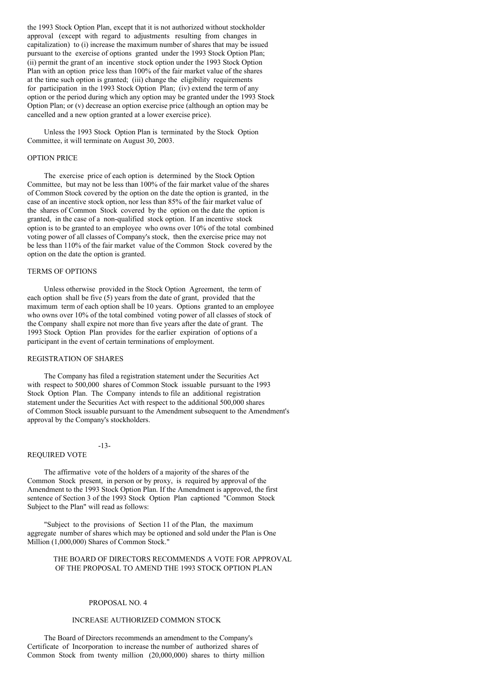the 1993 Stock Option Plan, except that it is not authorized without stockholder approval (except with regard to adjustments resulting from changes in capitalization) to (i) increase the maximum number of shares that may be issued pursuant to the exercise of options granted under the 1993 Stock Option Plan; (ii) permit the grant of an incentive stock option under the 1993 Stock Option Plan with an option price less than 100% of the fair market value of the shares at the time such option is granted; (iii) change the eligibility requirements for participation in the 1993 Stock Option Plan; (iv) extend the term of any option or the period during which any option may be granted under the 1993 Stock Option Plan; or (v) decrease an option exercise price (although an option may be cancelled and a new option granted at a lower exercise price).

Unless the 1993 Stock Option Plan is terminated by the Stock Option Committee, it will terminate on August 30, 2003.

## OPTION PRICE

The exercise price of each option is determined by the Stock Option Committee, but may not be less than 100% of the fair market value of the shares of Common Stock covered by the option on the date the option is granted, in the case of an incentive stock option, nor less than 85% of the fair market value of the shares of Common Stock covered by the option on the date the option is granted, in the case of a non-qualified stock option. If an incentive stock option is to be granted to an employee who owns over 10% of the total combined voting power of all classes of Company's stock, then the exercise price may not be less than 110% of the fair market value of the Common Stock covered by the option on the date the option is granted.

### TERMS OF OPTIONS

Unless otherwise provided in the Stock Option Agreement, the term of each option shall be five (5) years from the date of grant, provided that the maximum term of each option shall be 10 years. Options granted to an employee who owns over 10% of the total combined voting power of all classes of stock of the Company shall expire not more than five years after the date of grant. The 1993 Stock Option Plan provides for the earlier expiration of options of a participant in the event of certain terminations of employment.

#### REGISTRATION OF SHARES

The Company has filed a registration statement under the Securities Act with respect to 500,000 shares of Common Stock issuable pursuant to the 1993 Stock Option Plan. The Company intends to file an additional registration statement under the Securities Act with respect to the additional 500,000 shares of Common Stock issuable pursuant to the Amendment subsequent to the Amendment's approval by the Company's stockholders.

### -13-

#### REQUIRED VOTE

The affirmative vote of the holders of a majority of the shares of the Common Stock present, in person or by proxy, is required by approval of the Amendment to the 1993 Stock Option Plan. If the Amendment is approved, the first sentence of Section 3 of the 1993 Stock Option Plan captioned "Common Stock Subject to the Plan" will read as follows:

"Subject to the provisions of Section 11 of the Plan, the maximum aggregate number of shares which may be optioned and sold under the Plan is One Million (1,000,000) Shares of Common Stock."

### THE BOARD OF DIRECTORS RECOMMENDS A VOTE FOR APPROVAL OF THE PROPOSAL TO AMEND THE 1993 STOCK OPTION PLAN

#### PROPOSAL NO. 4

#### INCREASE AUTHORIZED COMMON STOCK

The Board of Directors recommends an amendment to the Company's Certificate of Incorporation to increase the number of authorized shares of Common Stock from twenty million (20,000,000) shares to thirty million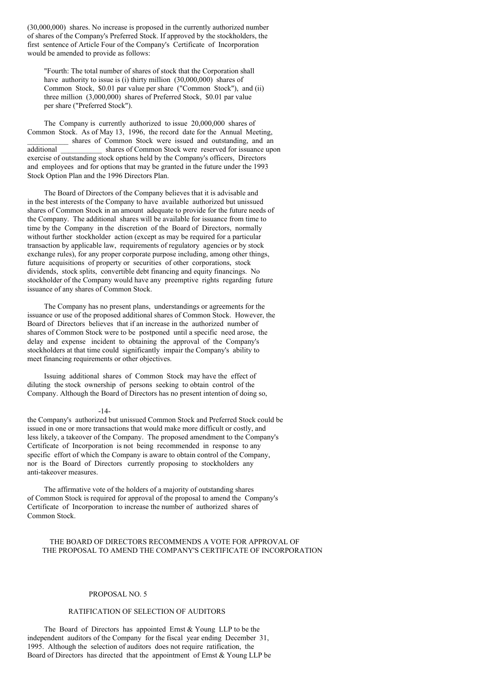(30,000,000) shares. No increase is proposed in the currently authorized number of shares of the Company's Preferred Stock. If approved by the stockholders, the first sentence of Article Four of the Company's Certificate of Incorporation would be amended to provide as follows:

"Fourth: The total number of shares of stock that the Corporation shall have authority to issue is (i) thirty million (30,000,000) shares of Common Stock, \$0.01 par value per share ("Common Stock"), and (ii) three million (3,000,000) shares of Preferred Stock, \$0.01 par value per share ("Preferred Stock").

The Company is currently authorized to issue 20,000,000 shares of Common Stock. As of May 13, 1996, the record date for the Annual Meeting, shares of Common Stock were issued and outstanding, and an additional shares of Common Stock were reserved for issuance upon exercise of outstanding stock options held by the Company's officers, Directors and employees and for options that may be granted in the future under the 1993 Stock Option Plan and the 1996 Directors Plan.

The Board of Directors of the Company believes that it is advisable and in the best interests of the Company to have available authorized but unissued shares of Common Stock in an amount adequate to provide for the future needs of the Company. The additional shares will be available for issuance from time to time by the Company in the discretion of the Board of Directors, normally without further stockholder action (except as may be required for a particular transaction by applicable law, requirements of regulatory agencies or by stock exchange rules), for any proper corporate purpose including, among other things, future acquisitions of property or securities of other corporations, stock dividends, stock splits, convertible debt financing and equity financings. No stockholder of the Company would have any preemptive rights regarding future issuance of any shares of Common Stock.

The Company has no present plans, understandings or agreements for the issuance or use of the proposed additional shares of Common Stock. However, the Board of Directors believes that if an increase in the authorized number of shares of Common Stock were to be postponed until a specific need arose, the delay and expense incident to obtaining the approval of the Company's stockholders at that time could significantly impair the Company's ability to meet financing requirements or other objectives.

Issuing additional shares of Common Stock may have the effect of diluting the stock ownership of persons seeking to obtain control of the Company. Although the Board of Directors has no present intention of doing so,

#### -14-

the Company's authorized but unissued Common Stock and Preferred Stock could be issued in one or more transactions that would make more difficult or costly, and less likely, a takeover of the Company. The proposed amendment to the Company's Certificate of Incorporation is not being recommended in response to any specific effort of which the Company is aware to obtain control of the Company, nor is the Board of Directors currently proposing to stockholders any anti-takeover measures.

The affirmative vote of the holders of a majority of outstanding shares of Common Stock is required for approval of the proposal to amend the Company's Certificate of Incorporation to increase the number of authorized shares of Common Stock.

### THE BOARD OF DIRECTORS RECOMMENDS A VOTE FOR APPROVAL OF THE PROPOSAL TO AMEND THE COMPANY'S CERTIFICATE OF INCORPORATION

#### PROPOSAL NO. 5

#### RATIFICATION OF SELECTION OF AUDITORS

The Board of Directors has appointed Ernst & Young LLP to be the independent auditors of the Company for the fiscal year ending December 31, 1995. Although the selection of auditors does not require ratification, the Board of Directors has directed that the appointment of Ernst  $&$  Young LLP be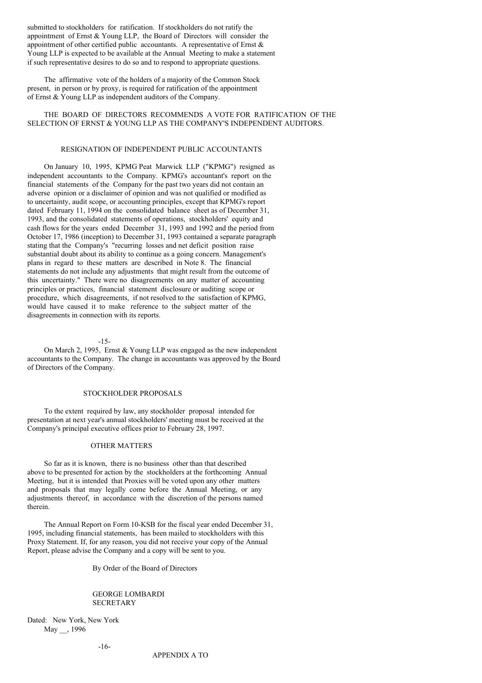submitted to stockholders for ratification. If stockholders do not ratify the appointment of Ernst & Young LLP, the Board of Directors will consider the appointment of other certified public accountants. A representative of Ernst  $\&$ Young LLP is expected to be available at the Annual Meeting to make a statement if such representative desires to do so and to respond to appropriate questions.

The affirmative vote of the holders of a majority of the Common Stock present, in person or by proxy, is required for ratification of the appointment of Ernst & Young LLP as independent auditors of the Company.

THE BOARD OF DIRECTORS RECOMMENDS A VOTE FOR RATIFICATION OF THE SELECTION OF ERNST & YOUNG LLP AS THE COMPANY'S INDEPENDENT AUDITORS.

# RESIGNATION OF INDEPENDENT PUBLIC ACCOUNTANTS

On January 10, 1995, KPMG Peat Marwick LLP ("KPMG") resigned as independent accountants to the Company. KPMG's accountant's report on the financial statements of the Company for the past two years did not contain an adverse opinion or a disclaimer of opinion and was not qualified or modified as to uncertainty, audit scope, or accounting principles, except that KPMG's report dated February 11, 1994 on the consolidated balance sheet as of December 31, 1993, and the consolidated statements of operations, stockholders' equity and cash flows for the years ended December 31, 1993 and 1992 and the period from October 17, 1986 (inception) to December 31, 1993 contained a separate paragraph stating that the Company's "recurring losses and net deficit position raise substantial doubt about its ability to continue as a going concern. Management's plans in regard to these matters are described in Note 8. The financial statements do not include any adjustments that might result from the outcome of this uncertainty." There were no disagreements on any matter of accounting principles or practices, financial statement disclosure or auditing scope or procedure, which disagreements, if not resolved to the satisfaction of KPMG, would have caused it to make reference to the subject matter of the disagreements in connection with its reports.

#### -15-

On March 2, 1995, Ernst & Young LLP was engaged as the new independent accountants to the Company. The change in accountants was approved by the Board of Directors of the Company.

#### STOCKHOLDER PROPOSALS

To the extent required by law, any stockholder proposal intended for presentation at next year's annual stockholders' meeting must be received at the Company's principal executive offices prior to February 28, 1997.

### OTHER MATTERS

So far as it is known, there is no business other than that described above to be presented for action by the stockholders at the forthcoming Annual Meeting, but it is intended that Proxies will be voted upon any other matters and proposals that may legally come before the Annual Meeting, or any adjustments thereof, in accordance with the discretion of the persons named therein.

The Annual Report on Form 10-KSB for the fiscal year ended December 31, 1995, including financial statements, has been mailed to stockholders with this Proxy Statement. If, for any reason, you did not receive your copy of the Annual Report, please advise the Company and a copy will be sent to you.

By Order of the Board of Directors

#### GEORGE LOMBARDI **SECRETARY**

Dated: New York, New York May , 1996

APPENDIX A TO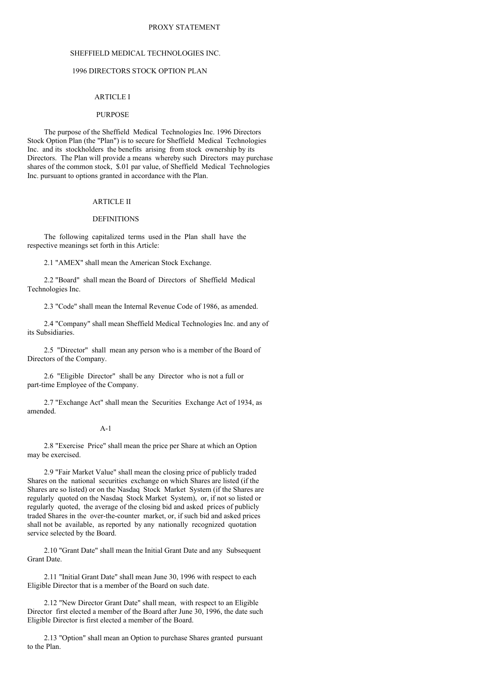### PROXY STATEMENT

# SHEFFIELD MEDICAL TECHNOLOGIES INC.

# 1996 DIRECTORS STOCK OPTION PLAN

### ARTICLE I

#### **PURPOSE**

The purpose of the Sheffield Medical Technologies Inc. 1996 Directors Stock Option Plan (the "Plan") is to secure for Sheffield Medical Technologies Inc. and its stockholders the benefits arising from stock ownership by its Directors. The Plan will provide a means whereby such Directors may purchase shares of the common stock, \$.01 par value, of Sheffield Medical Technologies Inc. pursuant to options granted in accordance with the Plan.

### ARTICLE II

#### **DEFINITIONS**

The following capitalized terms used in the Plan shall have the respective meanings set forth in this Article:

2.1 "AMEX" shall mean the American Stock Exchange.

2.2 "Board" shall mean the Board of Directors of Sheffield Medical Technologies Inc.

2.3 "Code" shall mean the Internal Revenue Code of 1986, as amended.

2.4 "Company" shall mean Sheffield Medical Technologies Inc. and any of its Subsidiaries.

2.5 "Director" shall mean any person who is a member of the Board of Directors of the Company.

2.6 "Eligible Director" shall be any Director who is not a full or part-time Employee of the Company.

2.7 "Exchange Act" shall mean the Securities Exchange Act of 1934, as amended.

### A-1

2.8 "Exercise Price" shall mean the price per Share at which an Option may be exercised.

2.9 "Fair Market Value" shall mean the closing price of publicly traded Shares on the national securities exchange on which Shares are listed (if the Shares are so listed) or on the Nasdaq Stock Market System (if the Shares are regularly quoted on the Nasdaq Stock Market System), or, if not so listed or regularly quoted, the average of the closing bid and asked prices of publicly traded Shares in the over-the-counter market, or, if such bid and asked prices shall not be available, as reported by any nationally recognized quotation service selected by the Board.

2.10 "Grant Date" shall mean the Initial Grant Date and any Subsequent Grant Date.

2.11 "Initial Grant Date" shall mean June 30, 1996 with respect to each Eligible Director that is a member of the Board on such date.

2.12 "New Director Grant Date" shall mean, with respect to an Eligible Director first elected a member of the Board after June 30, 1996, the date such Eligible Director is first elected a member of the Board.

2.13 "Option" shall mean an Option to purchase Shares granted pursuant to the Plan.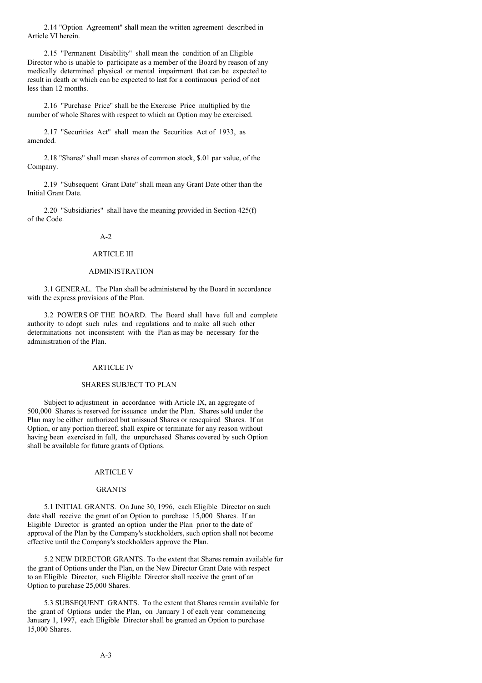2.14 "Option Agreement" shall mean the written agreement described in Article VI herein.

2.15 "Permanent Disability" shall mean the condition of an Eligible Director who is unable to participate as a member of the Board by reason of any medically determined physical or mental impairment that can be expected to result in death or which can be expected to last for a continuous period of not less than 12 months.

2.16 "Purchase Price" shall be the Exercise Price multiplied by the number of whole Shares with respect to which an Option may be exercised.

2.17 "Securities Act" shall mean the Securities Act of 1933, as amended.

2.18 "Shares" shall mean shares of common stock, \$.01 par value, of the Company.

2.19 "Subsequent Grant Date" shall mean any Grant Date other than the Initial Grant Date.

2.20 "Subsidiaries" shall have the meaning provided in Section 425(f) of the Code.

### A-2

#### ARTICLE III

# ADMINISTRATION

3.1 GENERAL. The Plan shall be administered by the Board in accordance with the express provisions of the Plan.

3.2 POWERS OF THE BOARD. The Board shall have full and complete authority to adopt such rules and regulations and to make all such other determinations not inconsistent with the Plan as may be necessary for the administration of the Plan.

### ARTICLE IV

#### SHARES SUBJECT TO PLAN

Subject to adjustment in accordance with Article IX, an aggregate of 500,000 Shares is reserved for issuance under the Plan. Shares sold under the Plan may be either authorized but unissued Shares or reacquired Shares. If an Option, or any portion thereof, shall expire or terminate for any reason without having been exercised in full, the unpurchased Shares covered by such Option shall be available for future grants of Options.

#### ARTICLE V

#### GRANTS

5.1 INITIAL GRANTS. On June 30, 1996, each Eligible Director on such date shall receive the grant of an Option to purchase 15,000 Shares. If an Eligible Director is granted an option under the Plan prior to the date of approval of the Plan by the Company's stockholders, such option shall not become effective until the Company's stockholders approve the Plan.

5.2 NEW DIRECTOR GRANTS. To the extent that Shares remain available for the grant of Options under the Plan, on the New Director Grant Date with respect to an Eligible Director, such Eligible Director shall receive the grant of an Option to purchase 25,000 Shares.

5.3 SUBSEQUENT GRANTS. To the extent that Shares remain available for the grant of Options under the Plan, on January 1 of each year commencing January 1, 1997, each Eligible Director shall be granted an Option to purchase 15,000 Shares.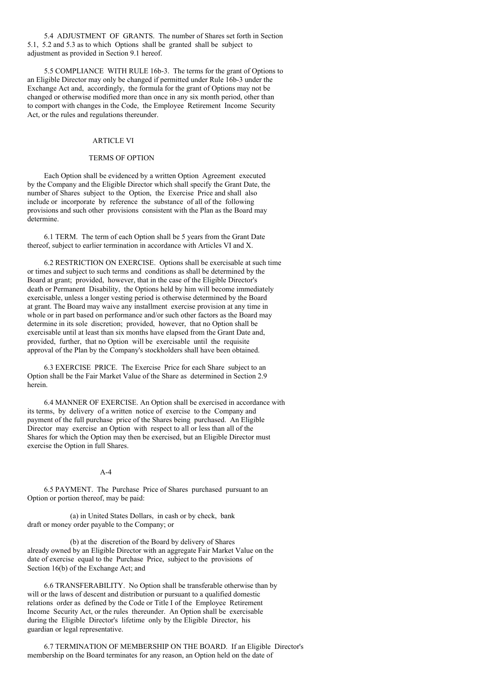5.4 ADJUSTMENT OF GRANTS. The number of Shares set forth in Section 5.1, 5.2 and 5.3 as to which Options shall be granted shall be subject to adjustment as provided in Section 9.1 hereof.

5.5 COMPLIANCE WITH RULE 16b-3. The terms for the grant of Options to an Eligible Director may only be changed if permitted under Rule 16b-3 under the Exchange Act and, accordingly, the formula for the grant of Options may not be changed or otherwise modified more than once in any six month period, other than to comport with changes in the Code, the Employee Retirement Income Security Act, or the rules and regulations thereunder.

# **ARTICLE VI**

# TERMS OF OPTION

Each Option shall be evidenced by a written Option Agreement executed by the Company and the Eligible Director which shall specify the Grant Date, the number of Shares subject to the Option, the Exercise Price and shall also include or incorporate by reference the substance of all of the following provisions and such other provisions consistent with the Plan as the Board may determine.

6.1 TERM. The term of each Option shall be 5 years from the Grant Date thereof, subject to earlier termination in accordance with Articles VI and X.

6.2 RESTRICTION ON EXERCISE. Options shall be exercisable at such time or times and subject to such terms and conditions as shall be determined by the Board at grant; provided, however, that in the case of the Eligible Director's death or Permanent Disability, the Options held by him will become immediately exercisable, unless a longer vesting period is otherwise determined by the Board at grant. The Board may waive any installment exercise provision at any time in whole or in part based on performance and/or such other factors as the Board may determine in its sole discretion; provided, however, that no Option shall be exercisable until at least than six months have elapsed from the Grant Date and, provided, further, that no Option will be exercisable until the requisite approval of the Plan by the Company's stockholders shall have been obtained.

6.3 EXERCISE PRICE. The Exercise Price for each Share subject to an Option shall be the Fair Market Value of the Share as determined in Section 2.9 herein.

6.4 MANNER OF EXERCISE. An Option shall be exercised in accordance with its terms, by delivery of a written notice of exercise to the Company and payment of the full purchase price of the Shares being purchased. An Eligible Director may exercise an Option with respect to all or less than all of the Shares for which the Option may then be exercised, but an Eligible Director must exercise the Option in full Shares.

#### $A-4$

6.5 PAYMENT. The Purchase Price of Shares purchased pursuant to an Option or portion thereof, may be paid:

(a) in United States Dollars, in cash or by check, bank draft or money order payable to the Company; or

(b) at the discretion of the Board by delivery of Shares already owned by an Eligible Director with an aggregate Fair Market Value on the date of exercise equal to the Purchase Price, subject to the provisions of Section 16(b) of the Exchange Act; and

6.6 TRANSFERABILITY. No Option shall be transferable otherwise than by will or the laws of descent and distribution or pursuant to a qualified domestic relations order as defined by the Code or Title I of the Employee Retirement Income Security Act, or the rules thereunder. An Option shall be exercisable during the Eligible Director's lifetime only by the Eligible Director, his guardian or legal representative.

6.7 TERMINATION OF MEMBERSHIP ON THE BOARD. If an Eligible Director's membership on the Board terminates for any reason, an Option held on the date of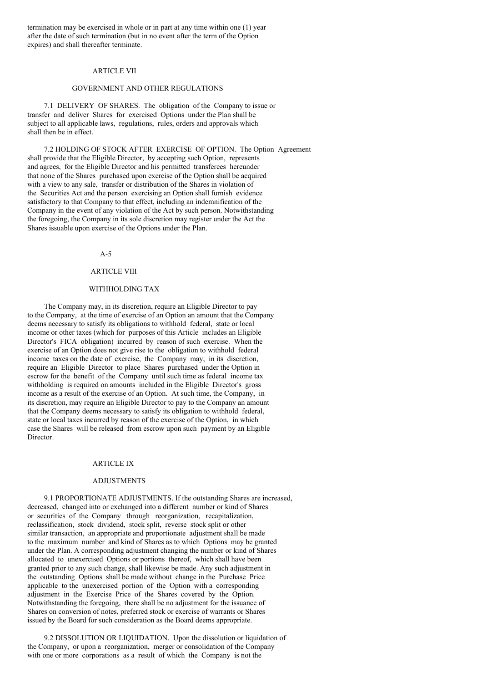termination may be exercised in whole or in part at any time within one (1) year after the date of such termination (but in no event after the term of the Option expires) and shall thereafter terminate.

### ARTICLE VII

### GOVERNMENT AND OTHER REGULATIONS

7.1 DELIVERY OF SHARES. The obligation of the Company to issue or transfer and deliver Shares for exercised Options under the Plan shall be subject to all applicable laws, regulations, rules, orders and approvals which shall then be in effect.

7.2 HOLDING OF STOCK AFTER EXERCISE OF OPTION. The Option Agreement shall provide that the Eligible Director, by accepting such Option, represents and agrees, for the Eligible Director and his permitted transferees hereunder that none of the Shares purchased upon exercise of the Option shall be acquired with a view to any sale, transfer or distribution of the Shares in violation of the Securities Act and the person exercising an Option shall furnish evidence satisfactory to that Company to that effect, including an indemnification of the Company in the event of any violation of the Act by such person. Notwithstanding the foregoing, the Company in its sole discretion may register under the Act the Shares issuable upon exercise of the Options under the Plan.

# A-5

# ARTICLE VIII

#### WITHHOLDING TAX

The Company may, in its discretion, require an Eligible Director to pay to the Company, at the time of exercise of an Option an amount that the Company deems necessary to satisfy its obligations to withhold federal, state or local income or other taxes (which for purposes of this Article includes an Eligible Director's FICA obligation) incurred by reason of such exercise. When the exercise of an Option does not give rise to the obligation to withhold federal income taxes on the date of exercise, the Company may, in its discretion, require an Eligible Director to place Shares purchased under the Option in escrow for the benefit of the Company until such time as federal income tax withholding is required on amounts included in the Eligible Director's gross income as a result of the exercise of an Option. At such time, the Company, in its discretion, may require an Eligible Director to pay to the Company an amount that the Company deems necessary to satisfy its obligation to withhold federal, state or local taxes incurred by reason of the exercise of the Option, in which case the Shares will be released from escrow upon such payment by an Eligible Director.

#### **ARTICLE IX**

#### ADJUSTMENTS

9.1 PROPORTIONATE ADJUSTMENTS. If the outstanding Shares are increased, decreased, changed into or exchanged into a different number or kind of Shares or securities of the Company through reorganization, recapitalization, reclassification, stock dividend, stock split, reverse stock split or other similar transaction, an appropriate and proportionate adjustment shall be made to the maximum number and kind of Shares as to which Options may be granted under the Plan. A corresponding adjustment changing the number or kind of Shares allocated to unexercised Options or portions thereof, which shall have been granted prior to any such change, shall likewise be made. Any such adjustment in the outstanding Options shall be made without change in the Purchase Price applicable to the unexercised portion of the Option with a corresponding adjustment in the Exercise Price of the Shares covered by the Option. Notwithstanding the foregoing, there shall be no adjustment for the issuance of Shares on conversion of notes, preferred stock or exercise of warrants or Shares issued by the Board for such consideration as the Board deems appropriate.

9.2 DISSOLUTION OR LIQUIDATION. Upon the dissolution or liquidation of the Company, or upon a reorganization, merger or consolidation of the Company with one or more corporations as a result of which the Company is not the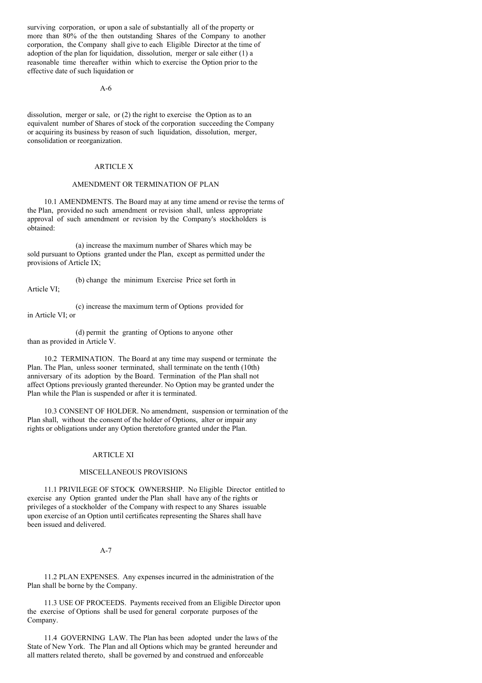surviving corporation, or upon a sale of substantially all of the property or more than 80% of the then outstanding Shares of the Company to another corporation, the Company shall give to each Eligible Director at the time of adoption of the plan for liquidation, dissolution, merger or sale either (1) a reasonable time thereafter within which to exercise the Option prior to the effective date of such liquidation or

#### A-6

dissolution, merger or sale, or (2) the right to exercise the Option as to an equivalent number of Shares of stock of the corporation succeeding the Company or acquiring its business by reason of such liquidation, dissolution, merger, consolidation or reorganization.

#### ARTICLE X

#### AMENDMENT OR TERMINATION OF PLAN

10.1 AMENDMENTS. The Board may at any time amend or revise the terms of the Plan, provided no such amendment or revision shall, unless appropriate approval of such amendment or revision by the Company's stockholders is obtained:

(a) increase the maximum number of Shares which may be sold pursuant to Options granted under the Plan, except as permitted under the provisions of Article IX;

(b) change the minimum Exercise Price set forth in Article VI;

(c) increase the maximum term of Options provided for in Article VI; or

(d) permit the granting of Options to anyone other than as provided in Article V.

10.2 TERMINATION. The Board at any time may suspend or terminate the Plan. The Plan, unless sooner terminated, shall terminate on the tenth (10th) anniversary of its adoption by the Board. Termination of the Plan shall not affect Options previously granted thereunder. No Option may be granted under the Plan while the Plan is suspended or after it is terminated.

10.3 CONSENT OF HOLDER. No amendment, suspension or termination of the Plan shall, without the consent of the holder of Options, alter or impair any rights or obligations under any Option theretofore granted under the Plan.

#### ARTICLE XI

#### MISCELLANEOUS PROVISIONS

11.1 PRIVILEGE OF STOCK OWNERSHIP. No Eligible Director entitled to exercise any Option granted under the Plan shall have any of the rights or privileges of a stockholder of the Company with respect to any Shares issuable upon exercise of an Option until certificates representing the Shares shall have been issued and delivered.

#### A-7

11.2 PLAN EXPENSES. Any expenses incurred in the administration of the Plan shall be borne by the Company.

11.3 USE OF PROCEEDS. Payments received from an Eligible Director upon the exercise of Options shall be used for general corporate purposes of the Company.

11.4 GOVERNING LAW. The Plan has been adopted under the laws of the State of New York. The Plan and all Options which may be granted hereunder and all matters related thereto, shall be governed by and construed and enforceable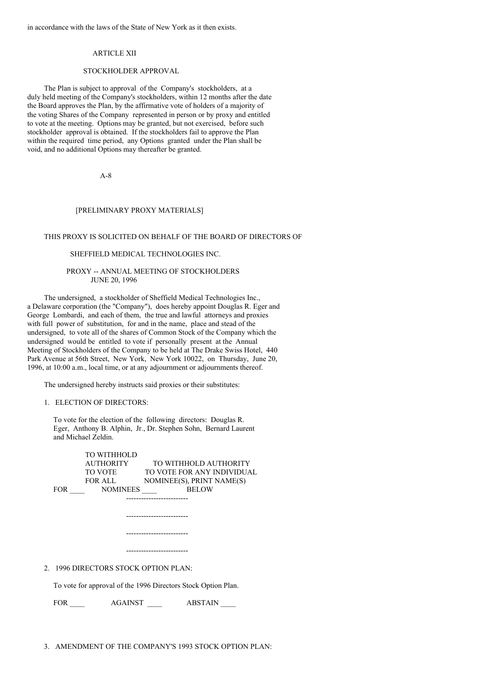in accordance with the laws of the State of New York as it then exists.

## ARTICLE XII

### STOCKHOLDER APPROVAL

The Plan is subject to approval of the Company's stockholders, at a duly held meeting of the Company's stockholders, within 12 months after the date the Board approves the Plan, by the affirmative vote of holders of a majority of the voting Shares of the Company represented in person or by proxy and entitled to vote at the meeting. Options may be granted, but not exercised, before such stockholder approval is obtained. If the stockholders fail to approve the Plan within the required time period, any Options granted under the Plan shall be void, and no additional Options may thereafter be granted.

A-8

### [PRELIMINARY PROXY MATERIALS]

## THIS PROXY IS SOLICITED ON BEHALF OF THE BOARD OF DIRECTORS OF

### SHEFFIELD MEDICAL TECHNOLOGIES INC.

### PROXY -- ANNUAL MEETING OF STOCKHOLDERS JUNE 20, 1996

The undersigned, a stockholder of Sheffield Medical Technologies Inc., a Delaware corporation (the "Company"), does hereby appoint Douglas R. Eger and George Lombardi, and each of them, the true and lawful attorneys and proxies with full power of substitution, for and in the name, place and stead of the undersigned, to vote all of the shares of Common Stock of the Company which the undersigned would be entitled to vote if personally present at the Annual Meeting of Stockholders of the Company to be held at The Drake Swiss Hotel, 440 Park Avenue at 56th Street, New York, New York 10022, on Thursday, June 20, 1996, at 10:00 a.m., local time, or at any adjournment or adjournments thereof.

The undersigned hereby instructs said proxies or their substitutes:

#### 1. ELECTION OF DIRECTORS:

To vote for the election of the following directors: Douglas R. Eger, Anthony B. Alphin, Jr., Dr. Stephen Sohn, Bernard Laurent and Michael Zeldin.

|                                                               | TO WITHHOLD     |  |                                        |  |  |
|---------------------------------------------------------------|-----------------|--|----------------------------------------|--|--|
|                                                               | AUTHORITY       |  | TO WITHHOLD AUTHORITY                  |  |  |
|                                                               |                 |  | TO VOTE FOR ANY INDIVIDUAL             |  |  |
|                                                               | FOR ALL         |  | NOMINEE(S), PRINT NAME(S)              |  |  |
| <b>FOR</b>                                                    | <b>NOMINEES</b> |  | <b>BELOW</b>                           |  |  |
|                                                               |                 |  |                                        |  |  |
|                                                               |                 |  |                                        |  |  |
|                                                               |                 |  |                                        |  |  |
|                                                               |                 |  |                                        |  |  |
|                                                               |                 |  |                                        |  |  |
|                                                               |                 |  |                                        |  |  |
|                                                               |                 |  |                                        |  |  |
|                                                               |                 |  |                                        |  |  |
| 2. 1996 DIRECTORS STOCK OPTION PLAN:                          |                 |  |                                        |  |  |
|                                                               |                 |  |                                        |  |  |
| To vote for approval of the 1996 Directors Stock Option Plan. |                 |  |                                        |  |  |
|                                                               |                 |  |                                        |  |  |
| FOR                                                           |                 |  | <b>ABSTAIN</b>                         |  |  |
|                                                               |                 |  | TO VOTE <b>TABLE</b><br><b>AGAINST</b> |  |  |